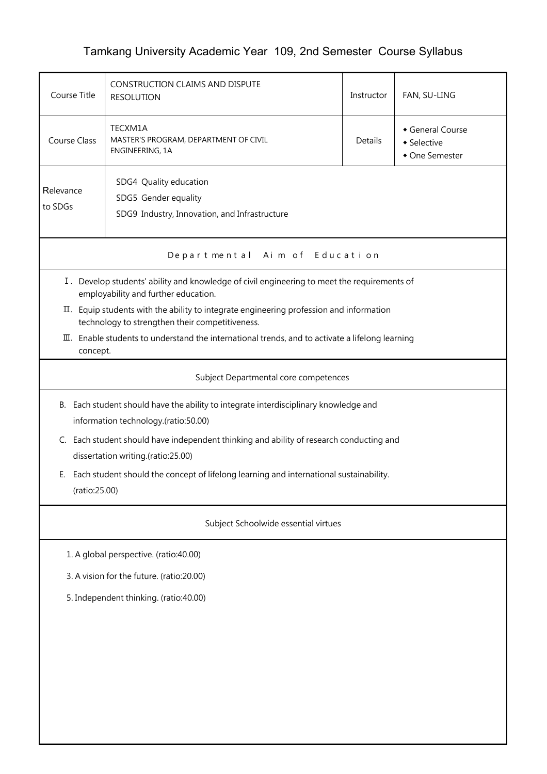## Tamkang University Academic Year 109, 2nd Semester Course Syllabus

| Course Title                                                                                                                                                                                                                                               | CONSTRUCTION CLAIMS AND DISPUTE<br><b>RESOLUTION</b>                                                                                | Instructor | FAN, SU-LING |  |  |  |  |  |
|------------------------------------------------------------------------------------------------------------------------------------------------------------------------------------------------------------------------------------------------------------|-------------------------------------------------------------------------------------------------------------------------------------|------------|--------------|--|--|--|--|--|
| <b>Course Class</b>                                                                                                                                                                                                                                        | TECXM1A<br>General Course<br>MASTER'S PROGRAM, DEPARTMENT OF CIVIL<br>Details<br>• Selective<br>ENGINEERING, 1A<br>• One Semester   |            |              |  |  |  |  |  |
| Relevance<br>to SDGs                                                                                                                                                                                                                                       | SDG4 Quality education<br>SDG5 Gender equality<br>SDG9 Industry, Innovation, and Infrastructure                                     |            |              |  |  |  |  |  |
|                                                                                                                                                                                                                                                            | Departmental Aim of Education                                                                                                       |            |              |  |  |  |  |  |
|                                                                                                                                                                                                                                                            | I. Develop students' ability and knowledge of civil engineering to meet the requirements of<br>employability and further education. |            |              |  |  |  |  |  |
| II. Equip students with the ability to integrate engineering profession and information<br>technology to strengthen their competitiveness.<br>$\overline{u}$ . Enable students to understand the international trends, and to activate a lifelong learning |                                                                                                                                     |            |              |  |  |  |  |  |
|                                                                                                                                                                                                                                                            | concept.<br>Subject Departmental core competences                                                                                   |            |              |  |  |  |  |  |
|                                                                                                                                                                                                                                                            | B. Each student should have the ability to integrate interdisciplinary knowledge and<br>information technology.(ratio:50.00)        |            |              |  |  |  |  |  |
| C. Each student should have independent thinking and ability of research conducting and<br>dissertation writing.(ratio:25.00)                                                                                                                              |                                                                                                                                     |            |              |  |  |  |  |  |
| E. Each student should the concept of lifelong learning and international sustainability.<br>(ratio:25.00)                                                                                                                                                 |                                                                                                                                     |            |              |  |  |  |  |  |
|                                                                                                                                                                                                                                                            | Subject Schoolwide essential virtues                                                                                                |            |              |  |  |  |  |  |
|                                                                                                                                                                                                                                                            | 1. A global perspective. (ratio:40.00)                                                                                              |            |              |  |  |  |  |  |
| 3. A vision for the future. (ratio:20.00)                                                                                                                                                                                                                  |                                                                                                                                     |            |              |  |  |  |  |  |
| 5. Independent thinking. (ratio:40.00)                                                                                                                                                                                                                     |                                                                                                                                     |            |              |  |  |  |  |  |
|                                                                                                                                                                                                                                                            |                                                                                                                                     |            |              |  |  |  |  |  |
|                                                                                                                                                                                                                                                            |                                                                                                                                     |            |              |  |  |  |  |  |
|                                                                                                                                                                                                                                                            |                                                                                                                                     |            |              |  |  |  |  |  |
|                                                                                                                                                                                                                                                            |                                                                                                                                     |            |              |  |  |  |  |  |
|                                                                                                                                                                                                                                                            |                                                                                                                                     |            |              |  |  |  |  |  |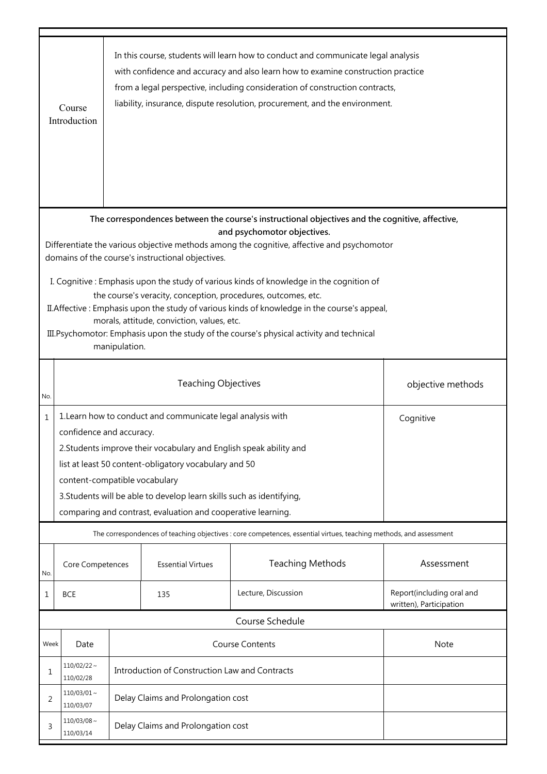|                                                                                                                                                                                                                                                                                                                                                                                                                      | Course<br>Introduction        |                                                                                                                                                                                                                                                                                                                                                                                                               |                                                | In this course, students will learn how to conduct and communicate legal analysis<br>with confidence and accuracy and also learn how to examine construction practice<br>from a legal perspective, including consideration of construction contracts,<br>liability, insurance, dispute resolution, procurement, and the environment. |                                                      |  |  |
|----------------------------------------------------------------------------------------------------------------------------------------------------------------------------------------------------------------------------------------------------------------------------------------------------------------------------------------------------------------------------------------------------------------------|-------------------------------|---------------------------------------------------------------------------------------------------------------------------------------------------------------------------------------------------------------------------------------------------------------------------------------------------------------------------------------------------------------------------------------------------------------|------------------------------------------------|--------------------------------------------------------------------------------------------------------------------------------------------------------------------------------------------------------------------------------------------------------------------------------------------------------------------------------------|------------------------------------------------------|--|--|
| The correspondences between the course's instructional objectives and the cognitive, affective,<br>and psychomotor objectives.<br>Differentiate the various objective methods among the cognitive, affective and psychomotor<br>domains of the course's instructional objectives.                                                                                                                                    |                               |                                                                                                                                                                                                                                                                                                                                                                                                               |                                                |                                                                                                                                                                                                                                                                                                                                      |                                                      |  |  |
| I. Cognitive: Emphasis upon the study of various kinds of knowledge in the cognition of<br>the course's veracity, conception, procedures, outcomes, etc.<br>II. Affective: Emphasis upon the study of various kinds of knowledge in the course's appeal,<br>morals, attitude, conviction, values, etc.<br>III. Psychomotor: Emphasis upon the study of the course's physical activity and technical<br>manipulation. |                               |                                                                                                                                                                                                                                                                                                                                                                                                               |                                                |                                                                                                                                                                                                                                                                                                                                      |                                                      |  |  |
| No.                                                                                                                                                                                                                                                                                                                                                                                                                  |                               |                                                                                                                                                                                                                                                                                                                                                                                                               | <b>Teaching Objectives</b>                     |                                                                                                                                                                                                                                                                                                                                      | objective methods                                    |  |  |
| 1                                                                                                                                                                                                                                                                                                                                                                                                                    |                               | 1. Learn how to conduct and communicate legal analysis with<br>Cognitive<br>confidence and accuracy.<br>2. Students improve their vocabulary and English speak ability and<br>list at least 50 content-obligatory vocabulary and 50<br>content-compatible vocabulary<br>3. Students will be able to develop learn skills such as identifying,<br>comparing and contrast, evaluation and cooperative learning. |                                                |                                                                                                                                                                                                                                                                                                                                      |                                                      |  |  |
|                                                                                                                                                                                                                                                                                                                                                                                                                      |                               |                                                                                                                                                                                                                                                                                                                                                                                                               |                                                | The correspondences of teaching objectives : core competences, essential virtues, teaching methods, and assessment                                                                                                                                                                                                                   |                                                      |  |  |
| No.                                                                                                                                                                                                                                                                                                                                                                                                                  | Core Competences              |                                                                                                                                                                                                                                                                                                                                                                                                               | <b>Essential Virtues</b>                       | <b>Teaching Methods</b>                                                                                                                                                                                                                                                                                                              | Assessment                                           |  |  |
| 1                                                                                                                                                                                                                                                                                                                                                                                                                    | <b>BCE</b>                    |                                                                                                                                                                                                                                                                                                                                                                                                               | 135                                            | Lecture, Discussion                                                                                                                                                                                                                                                                                                                  | Report(including oral and<br>written), Participation |  |  |
|                                                                                                                                                                                                                                                                                                                                                                                                                      |                               |                                                                                                                                                                                                                                                                                                                                                                                                               |                                                | Course Schedule                                                                                                                                                                                                                                                                                                                      |                                                      |  |  |
| Week                                                                                                                                                                                                                                                                                                                                                                                                                 | Date                          |                                                                                                                                                                                                                                                                                                                                                                                                               | <b>Course Contents</b><br>Note                 |                                                                                                                                                                                                                                                                                                                                      |                                                      |  |  |
| 1                                                                                                                                                                                                                                                                                                                                                                                                                    | $110/02/22$ ~<br>110/02/28    |                                                                                                                                                                                                                                                                                                                                                                                                               | Introduction of Construction Law and Contracts |                                                                                                                                                                                                                                                                                                                                      |                                                      |  |  |
| 2                                                                                                                                                                                                                                                                                                                                                                                                                    | $110/03/01$ ~<br>110/03/07    | Delay Claims and Prolongation cost                                                                                                                                                                                                                                                                                                                                                                            |                                                |                                                                                                                                                                                                                                                                                                                                      |                                                      |  |  |
| 3                                                                                                                                                                                                                                                                                                                                                                                                                    | $110/03/08 \sim$<br>110/03/14 | Delay Claims and Prolongation cost                                                                                                                                                                                                                                                                                                                                                                            |                                                |                                                                                                                                                                                                                                                                                                                                      |                                                      |  |  |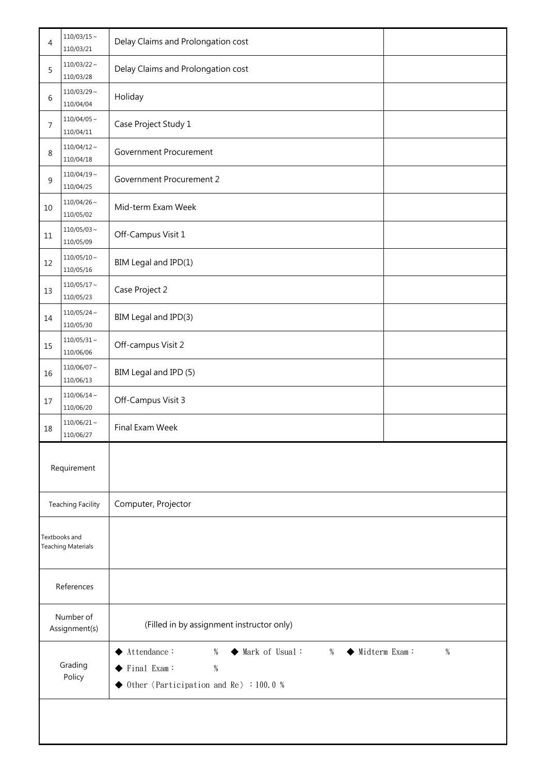| 4                          | $110/03/15 \sim$<br>110/03/21              | Delay Claims and Prolongation cost                                                                                                                            |  |  |
|----------------------------|--------------------------------------------|---------------------------------------------------------------------------------------------------------------------------------------------------------------|--|--|
| 5                          | $110/03/22 \sim$<br>110/03/28              | Delay Claims and Prolongation cost                                                                                                                            |  |  |
| 6                          | $110/03/29$ ~<br>110/04/04                 | Holiday                                                                                                                                                       |  |  |
| 7                          | $110/04/05 \sim$<br>110/04/11              | Case Project Study 1                                                                                                                                          |  |  |
| 8                          | $110/04/12 \sim$<br>110/04/18              | Government Procurement                                                                                                                                        |  |  |
| 9                          | $110/04/19 \sim$<br>110/04/25              | Government Procurement 2                                                                                                                                      |  |  |
| 10                         | $110/04/26$ ~<br>110/05/02                 | Mid-term Exam Week                                                                                                                                            |  |  |
| 11                         | $110/05/03 \sim$<br>110/05/09              | Off-Campus Visit 1                                                                                                                                            |  |  |
| 12                         | $110/05/10 \sim$<br>110/05/16              | BIM Legal and IPD(1)                                                                                                                                          |  |  |
| 13                         | $110/05/17$ ~<br>110/05/23                 | Case Project 2                                                                                                                                                |  |  |
| 14                         | $110/05/24 \sim$<br>110/05/30              | BIM Legal and IPD(3)                                                                                                                                          |  |  |
| 15                         | $110/05/31$ ~<br>110/06/06                 | Off-campus Visit 2                                                                                                                                            |  |  |
| 16                         | $110/06/07 \sim$<br>110/06/13              | BIM Legal and IPD (5)                                                                                                                                         |  |  |
| 17                         | $110/06/14 \sim$<br>110/06/20              | Off-Campus Visit 3                                                                                                                                            |  |  |
| 18                         | $110/06/21 \sim$<br>110/06/27              | Final Exam Week                                                                                                                                               |  |  |
|                            | Requirement                                |                                                                                                                                                               |  |  |
|                            | <b>Teaching Facility</b>                   | Computer, Projector                                                                                                                                           |  |  |
|                            | Textbooks and<br><b>Teaching Materials</b> |                                                                                                                                                               |  |  |
|                            | References                                 |                                                                                                                                                               |  |  |
| Number of<br>Assignment(s) |                                            | (Filled in by assignment instructor only)                                                                                                                     |  |  |
| Grading<br>Policy          |                                            | Attendance:<br>Mark of Usual:<br>$\blacklozenge$ Midterm Exam:<br>$\%$<br>$\%$<br>%<br>◆<br>$\%$<br>Final Exam:<br>Other $\{Participation and Re\}$ : 100.0 % |  |  |
|                            |                                            |                                                                                                                                                               |  |  |